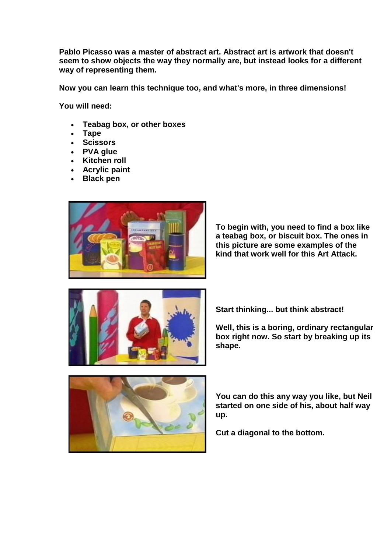**Pablo Picasso was a master of abstract art. Abstract art is artwork that doesn't seem to show objects the way they normally are, but instead looks for a different way of representing them.** 

**Now you can learn this technique too, and what's more, in three dimensions!** 

**You will need:** 

- **Teabag box, or other boxes**
- **Tape**
- **Scissors**
- **PVA glue**
- **Kitchen roll**
- **Acrylic paint**
- **Black pen**



**To begin with, you need to find a box like a teabag box, or biscuit box. The ones in this picture are some examples of the kind that work well for this Art Attack.** 



**Start thinking... but think abstract!** 

**Well, this is a boring, ordinary rectangular box right now. So start by breaking up its shape.** 



**You can do this any way you like, but Neil started on one side of his, about half way up.**

**Cut a diagonal to the bottom.**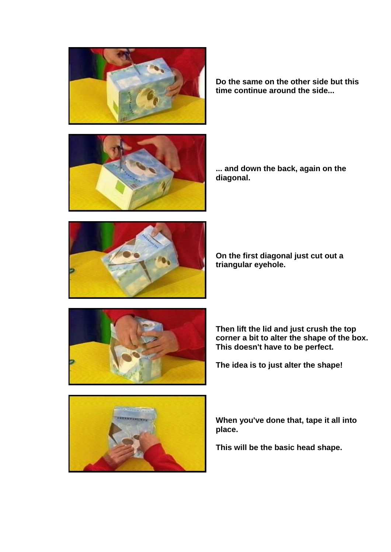





**... and down the back, again on the diagonal.** 



**On the first diagonal just cut out a triangular eyehole.** 



**Then lift the lid and just crush the top corner a bit to alter the shape of the box. This doesn't have to be perfect.**

**The idea is to just alter the shape!** 



**When you've done that, tape it all into place.**

**This will be the basic head shape.**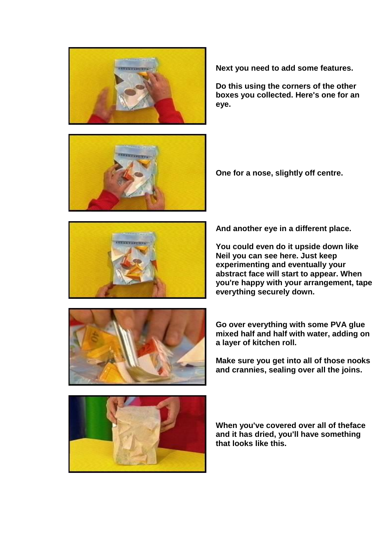



**Next you need to add some features.**

**Do this using the corners of the other boxes you collected. Here's one for an eye.** 

**One for a nose, slightly off centre.** 



**And another eye in a different place.**

**You could even do it upside down like Neil you can see here. Just keep experimenting and eventually your abstract face will start to appear. When you're happy with your arrangement, tape everything securely down.** 



**Go over everything with some PVA glue mixed half and half with water, adding on a layer of kitchen roll.**

**Make sure you get into all of those nooks and crannies, sealing over all the joins.** 



**When you've covered over all of theface and it has dried, you'll have something that looks like this.**